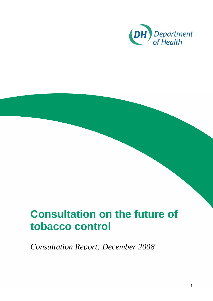

# **Consultation on the future of tobacco control**

*Consultation Report: December 2008*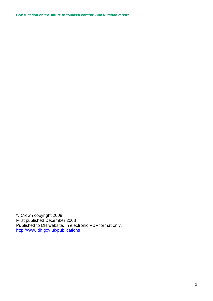© Crown copyright 2008 First published December 2008 Published to DH website, in electronic PDF format only. <http://www.dh.gov.uk/publications>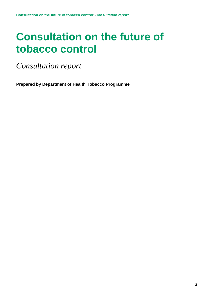# **Consultation on the future of tobacco control**

*Consultation report* 

**Prepared by Department of Health Tobacco Programme**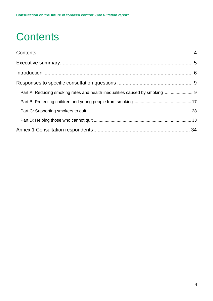# <span id="page-3-0"></span>**Contents**

| Part A: Reducing smoking rates and health inequalities caused by smoking 9 |  |
|----------------------------------------------------------------------------|--|
|                                                                            |  |
|                                                                            |  |
|                                                                            |  |
|                                                                            |  |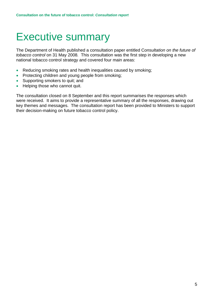## <span id="page-4-0"></span>Executive summary

The Department of Health published a consultation paper entitled C*onsultation on the future of tobacco control* on 31 May 2008*.* This consultation was the first step in developing a new national tobacco control strategy and covered four main areas:

- Reducing smoking rates and health inequalities caused by smoking;
- Protecting children and young people from smoking;
- Supporting smokers to quit: and
- Helping those who cannot quit.

The consultation closed on 8 September and this report summarises the responses which were received. It aims to provide a representative summary of all the responses, drawing out key themes and messages. The consultation report has been provided to Ministers to support their decision-making on future tobacco control policy.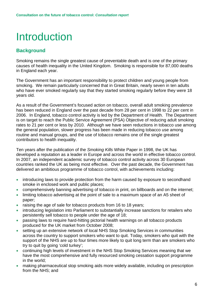# <span id="page-5-0"></span>Introduction

### **Background**

Smoking remains the single greatest cause of preventable death and is one of the primary causes of health inequality in the United Kingdom. Smoking is responsible for 87,000 deaths in England each year.

The Government has an important responsibility to protect children and young people from smoking. We remain particularly concerned that in Great Britain, nearly seven in ten adults who have ever smoked regularly say that they started smoking regularly before they were 18 years old.

As a result of the Government's focused action on tobacco, overall adult smoking prevalence has been reduced in England over the past decade from 28 per cent in 1998 to 22 per cent in 2006. In England, tobacco control activity is led by the Department of Health. The Department is on target to reach the Public Service Agreement (PSA) Objective of reducing adult smoking rates to 21 per cent or less by 2010. Although we have seen reductions in tobacco use among the general population, slower progress has been made in reducing tobacco use among routine and manual groups, and the use of tobacco remains one of the single greatest contributors to health inequality.

Ten years after the publication of the *Smoking Kills* White Paper in 1998, the UK has developed a reputation as a leader in Europe and across the world in effective tobacco control. In 2007, an independent academic survey of tobacco control activity across 30 European countries ranked the UK as being most effective. Over the past decade, the Government has delivered an ambitious programme of tobacco control, with achievements including:

- introducing laws to provide protection from the harm caused by exposure to secondhand smoke in enclosed work and public places;
- comprehensively banning advertising of tobacco in print, on billboards and on the internet;
- limiting tobacco advertising at the point of sale to a maximum space of an A5 sheet of paper;
- raising the age of sale for tobacco products from 16 to 18 years;
- introducing legislation into Parliament to substantially increase sanctions for retailers who persistently sell tobacco to people under the age of 18;
- passing laws to require hard-hitting pictorial health warnings on all tobacco products produced for the UK market from October 2008;
- setting up an extensive network of local NHS Stop Smoking Services in communities across the country to support smokers who want to quit. Today, smokers who quit with the support of the NHS are up to four times more likely to quit long term than are smokers who try to quit by going 'cold turkey';
- continuing high levels of investment in the NHS Stop Smoking Services meaning that we have the most comprehensive and fully resourced smoking cessation support programme in the world;
- making pharmaceutical stop smoking aids more widely available, including on prescription from the NHS; and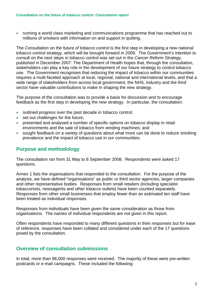• running a world class marketing and communications programme that has reached out to millions of smokers with information on and support in quitting.

The *Consultation on the future of tobacco control* is the first step in developing a new national tobacco control strategy, which will be brought forward in 2009. The Government's intention to consult on the next steps in tobacco control was set out in the *Cancer Reform Strategy*, published in December 2007. The Department of Health hopes that, through the consultation, stakeholders can play a key role in the development of our future strategy to control tobacco use. The Government recognises that reducing the impact of tobacco within our communities requires a multi-faceted approach at local, regional, national and international levels, and that a wide range of stakeholders from across local government, the NHS, industry and the third sector have valuable contributions to make in shaping the new strategy.

The purpose of the consultation was to provide a basis for discussion and to encourage feedback as the first step in developing the new strategy. In particular, the consultation:

- outlined progress over the past decade in tobacco control;
- set out challenges for the future:
- presented and analysed a number of specific options on tobacco display in retail environments and the sale of tobacco from vending machines; and
- sought feedback on a variety of questions about what more can be done to reduce smoking prevalence and the impact of tobacco use in our communities.

### **Purpose and methodology**

The consultation ran from 31 May to 8 September 2008. Respondents were asked 17 questions.

Annex 1 lists the organisations that responded to the consultation. For the purpose of the analysis, we have defined "organisations" as public or third sector agencies, larger companies and other representative bodies. Responses from small retailers (including specialist tobacconists, newsagents and other tobacco outlets) have been counted separately. Responses from other small businesses that employ fewer than an estimated ten staff have been treated as individual responses.

Responses from individuals have been given the same consideration as those from organisations. The names of individual respondents are not given in this report.

Often respondents have responded to many different questions in their responses but for ease of reference, responses have been collated and considered under each of the 17 questions posed by the consultation.

### **Overview of consultation submissions**

In total, more than 96,000 responses were received. The majority of these were pre-written postcards or e-mail campaigns. These included the following: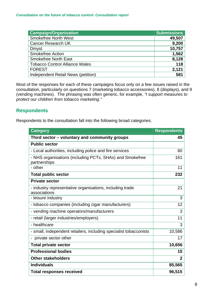| <b>Campaign/Organisation</b>          | <b>Submissions</b> |
|---------------------------------------|--------------------|
| <b>Smokefree North West</b>           | 49,507             |
| <b>Cancer Research UK</b>             | 9,200              |
| <b>Dmyst</b>                          | 10,757             |
| <b>Smokefree Action</b>               | 1,562              |
| <b>Smokefree North East</b>           | 8,128              |
| <b>Tobacco Control Alliance Wales</b> | 118                |
| <b>FOREST</b>                         | 2,121              |
| Independent Retail News (petition)    | 581                |

Most of the responses for each of these campaigns focus only on a few issues raised in the consultation, particularly on questions 7 (marketing tobacco accessories), 8 (displays), and 9 (vending machines). The phrasing was often generic, for example, *"I support measures to protect our children from tobacco marketing."*

### **Respondents**

Respondents to the consultation fall into the following broad categories.

| <b>Category</b>                                                          | <b>Respondents</b> |
|--------------------------------------------------------------------------|--------------------|
| Third sector - voluntary and community groups                            | 45                 |
| <b>Public sector</b>                                                     |                    |
| - Local authorities, including police and fire services                  | 60                 |
| - NHS organisations (including PCTs, SHAs) and Smokefree<br>partnerships | 161                |
| - other                                                                  | 11                 |
| <b>Total public sector</b>                                               | 232                |
| <b>Private sector</b>                                                    |                    |
| - industry representative organisations, including trade<br>associations | 21                 |
| - leisure industry                                                       | 3                  |
| - tobacco companies (including cigar manufacturers)                      | 12                 |
| - vending machine operators/manufacturers                                | 3                  |
| - retail (larger industries/employers)                                   | 11                 |
| - healthcare                                                             | 3                  |
| - small, independent retailers, including specialist tobacconists        | 10,586             |
| - private sector other                                                   | 17                 |
| <b>Total private sector</b>                                              | 10,656             |
| <b>Professional bodies</b>                                               | 15                 |
| <b>Other stakeholders</b>                                                | $\overline{2}$     |
| <b>Individuals</b>                                                       | 85,565             |
| <b>Total responses received</b>                                          | 96,515             |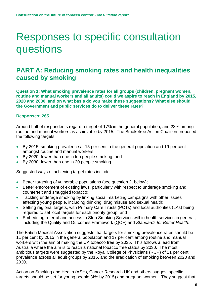## <span id="page-8-0"></span>Responses to specific consultation questions

### **PART A: Reducing smoking rates and health inequalities caused by smoking**

**Question 1: What smoking prevalence rates for all groups (children, pregnant women, routine and manual workers and all adults) could we aspire to reach in England by 2015, 2020 and 2030, and on what basis do you make these suggestions? What else should the Government and public services do to deliver these rates?** 

#### **Responses: 265**

Around half of respondents regard a target of 17% in the general population, and 23% among routine and manual workers as achievable by 2015. The Smokefree Action Coalition proposed the following targets:

- By 2015, smoking prevalence at 15 per cent in the general population and 19 per cent amongst routine and manual workers;
- By 2020, fewer than one in ten people smoking; and
- By 2030, fewer than one in 20 people smoking.

Suggested ways of achieving target rates include:

- Better targeting of vulnerable populations (see question 2, below);
- Better enforcement of existing laws, particularly with respect to underage smoking and counterfeit and smuggled tobacco;
- Tackling underage smoking by linking social marketing campaigns with other issues affecting young people, including drinking, drug misuse and sexual health;
- Setting regional targets, with Primary Care Trusts (PCTs) and local authorities (LAs) being required to set local targets for each priority group; and
- Embedding referral and access to Stop Smoking Services within health services in general, including the Quality and Outcomes Framework (QOF) and *Standards for Better Health*.

The British Medical Association suggests that targets for smoking prevalence rates should be 11 per cent by 2015 in the general population and 17 per cent among routine and manual workers with the aim of making the UK tobacco free by 2035. This follows a lead from Australia where the aim is to reach a national tobacco free status by 2030. The most ambitious targets were suggested by the Royal College of Physicians (RCP) of 11 per cent prevalence across all adult groups by 2015, and the eradication of smoking between 2020 and 2030.

Action on Smoking and Health (ASH), Cancer Research UK and others suggest specific targets should be set for young people (4% by 2015) and pregnant women. They suggest that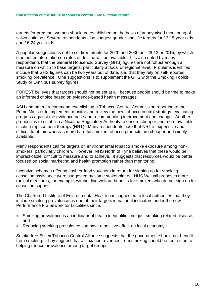targets for pregnant women should be established on the basis of anonymised monitoring of saliva cotinine. Several respondents also suggest gender-specific targets for 13-15 year olds and 16-24 year olds.

A popular suggestion is not to set firm targets for 2020 and 2030 until 2012 or 2015, by which time better information on rates of decline will be available. It is also noted by many respondents that the General Household Survey (GHS) figures are not robust enough a measure on which to base targets, particularly at local or regional level. Problems identified include that GHS figures can be two years out of date, and that they rely on self-reported smoking prevalence. One suggestions is to supplement the GHS with the Smoking Toolkit Study or Omnibus survey figures.

FOREST believes that targets should not be set at all, because people should be free to make an informed choice based on evidence-based health messages.

ASH and others recommend establishing a Tobacco Control Commission reporting to the Prime Minister to implement, monitor and review the new tobacco control strategy, evaluating progress against the evidence base and recommending improvement and change. Another proposal is to establish a Nicotine Regulatory Authority to ensure cheaper and more available nicotine replacement therapy (NRT). Many respondents note that NRT is expensive and difficult to obtain whereas more harmful smoked tobacco products are cheaper and widely available.

Many respondents call for targets on environmental tobacco smoke exposure among nonsmokers, particularly children. However, NHS North of Tyne believes that these would be impracticable, difficult to measure and to achieve. It suggests that resources would be better focused on social marketing and health promotion rather than monitoring.

Incentive schemes offering cash or food vouchers in return for signing up for smoking cessation assistance were suggested by some stakeholders. NHS Walsall proposes more radical measures, for example, withholding welfare benefits for smokers who do not sign up for cessation support.

The Chartered Institute of Environmental Health has suggested to local authorities that they include smoking prevalence as one of their targets in national indicators under the new Performance Framework for Localities since:

- Smoking prevalence is an indicator of health inequalities not just smoking related disease; and
- Reducing smoking prevalence can have a positive effect on local economy.

Smoke free Essex Tobacco Control Alliance suggests that the government should not benefit from smoking. They suggest that all taxation revenues from smoking should be redirected to helping reduce prevalence among target groups.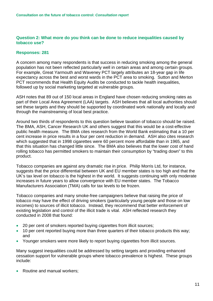#### **Question 2: What more do you think can be done to reduce inequalities caused by tobacco use?**

#### **Responses: 281**

A concern among many respondents is that success in reducing smoking among the general population has not been reflected particularly well in certain areas and among certain groups. For example, Great Yarmouth and Waveney PCT largely attributes an 18-year gap in life expectancy across the best and worst wards in the PCT area to smoking. Sutton and Merton PCT recommends that Health Equity Audits be conducted to tackle health inequalities, followed up by social marketing targeted at vulnerable groups.

ASH notes that 89 out of 150 local areas in England have chosen reducing smoking rates as part of their Local Area Agreement (LAA) targets. ASH believes that all local authorities should set these targets and they should be supported by coordinated work nationally and locally and through the mainstreaming of local best practice.

Around two thirds of respondents to this question believe taxation of tobacco should be raised. The BMA, ASH, Cancer Research UK and others suggest that this would be a cost-effective public health measure. The BMA cites research from the World Bank estimating that a 10 per cent increase in price results in a four per cent reduction in demand. ASH also cites research which suggested that in 1998 cigarettes were 60 percent more affordable than in 1965, and that this situation has changed little since. The BMA also believes that the lower cost of hand rolling tobacco has permitted smokers to maintain their consumption by "trading down" to this product.

Tobacco companies are against any dramatic rise in price. Philip Morris Ltd, for instance, suggests that the price differential between UK and EU member states is too high and that the UK's tax level on tobacco is the highest in the world. It suggests continuing with only moderate increases in future years to allow convergence with EU member states. The Tobacco Manufacturers Association (TMA) calls for tax levels to be frozen.

Tobacco companies and many smoke-free campaigners believe that raising the price of tobacco may have the effect of driving smokers (particularly young people and those on low incomes) to sources of illicit tobacco. Instead, they recommend that better enforcement of existing legislation and control of the illicit trade is vital. ASH reflected research they conducted in 2008 that found:

- 20 per cent of smokers reported buying cigarettes from illicit sources;
- 10 per cent reported buying more than three quarters of their tobacco products this way; and
- Younger smokers were more likely to report buying cigarettes from illicit sources.

Many suggest inequalities could be addressed by setting targets and providing enhanced cessation support for vulnerable groups where tobacco prevalence is highest. These groups include:

• Routine and manual workers;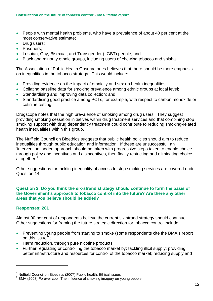- People with mental health problems, who have a prevalence of about 40 per cent at the most conservative estimate;
- Drug users;
- Prisoners;
- Lesbian, Gay, Bisexual, and Transgender (LGBT) people; and
- Black and minority ethnic groups, including users of chewing tobacco and shisha.

The Association of Public Health Observatories believes that there should be more emphasis on inequalities in the tobacco strategy. This would include:

- Providing evidence on the impact of ethnicity and sex on health inequalities;
- Collating baseline data for smoking prevalence among ethnic groups at local level:
- Standardising and improving data collection; and
- Standardising good practice among PCTs, for example, with respect to carbon monoxide or cotinine testing.

Drugscope notes that the high prevalence of smoking among drug users. They suggest providing smoking cessation initiatives within drug treatment services and that combining stop smoking support with drug dependency treatment could contribute to reducing smoking-related health inequalities within this group.

The Nuffield Council on Bioethics suggests that public health policies should aim to reduce inequalities through public education and information. If these are unsuccessful, an 'intervention ladder' approach should be taken with progressive steps taken to enable choice through policy and incentives and disincentives, then finally restricting and eliminating choice altogether.<sup>[1](#page-11-0)</sup>

Other suggestions for tackling inequality of access to stop smoking services are covered under Question 14.

#### **Question 3: Do you think the six-strand strategy should continue to form the basis of the Government's approach to tobacco control into the future? Are there any other areas that you believe should be added?**

#### **Responses: 281**

1

Almost 90 per cent of respondents believe the current six strand strategy should continue. Other suggestions for framing the future strategic direction for tobacco control include:

- Preventing young people from starting to smoke (some respondents cite the BMA's report on this issue<sup>2</sup>);
- Harm reduction, through pure nicotine products;
- Further regulating or controlling the tobacco market by: tackling illicit supply; providing better infrastructure and resources for control of the tobacco market; reducing supply and

<span id="page-11-0"></span><sup>&</sup>lt;sup>1</sup> Nuffield Council on Bioethics (2007) Public health: Ethical issues

<span id="page-11-1"></span> $2$  BMA (2008) Forever cool: The influence of smoking imagery on young people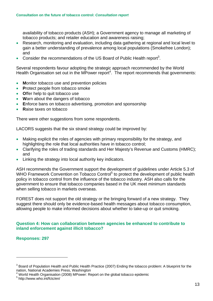availability of tobacco products (ASH); a Government agency to manage all marketing of tobacco products; and retailer education and awareness raising;

- Research, monitoring and evaluation, including data gathering at regional and local level to gain a better understanding of prevalence among local populations (Smokefree London); and
- Consider the recommendations of the US Board of Public Health report<sup>[3](#page-12-0)</sup>.

Several respondents favour adopting the strategic approach recommended by the World Health Organisation set out in the MPower report<sup>4</sup>. The report recommends that governments:

- **M**onitor tobacco use and prevention policies
- **Protect people from tobacco smoke**
- **O**ffer help to quit tobacco use
- **W**arn about the dangers of tobacco
- **E**nforce bans on tobacco advertising, promotion and sponsorship
- **R**aise taxes on tobacco

There were other suggestions from some respondents.

LACORS suggests that the six strand strategy could be improved by:

- Making explicit the roles of agencies with primary responsibility for the strategy, and highlighting the role that local authorities have in tobacco control;
- Clarifying the roles of trading standards and Her Maiesty's Revenue and Customs (HMRC): and
- Linking the strategy into local authority key indicators.

ASH recommends the Government support the development of guidelines under Article 5.3 of WHO Framework Convention on Tobacco Control<sup>5</sup> to protect the development of public health policy in tobacco control from the influence of the tobacco industry. ASH also calls for the government to ensure that tobacco companies based in the UK meet minimum standards when selling tobacco in markets overseas.

FOREST does not support the old strategy or the bringing forward of a new strategy. They suggest there should only be evidence-based health messages about tobacco consumption, allowing people to make informed decisions about whether to take-up or quit smoking.

#### **Question 4: How can collaboration between agencies be enhanced to contribute to inland enforcement against illicit tobacco?**

#### **Responses: 297**

1

<span id="page-12-1"></span>World Health Organisation (2008) MPower: Report on the global tobacco epidemic

<span id="page-12-0"></span> $3$  Board of Population Health and Public Health Practice (2007) Ending the tobacco problem: A blueprint for the nation, National Academies Press, Washington 4

<span id="page-12-2"></span><sup>5</sup> http://www.who.int/fctc/en/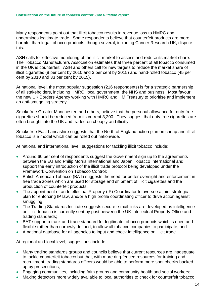Many respondents point out that illicit tobacco results in revenue loss to HMRC and undermines legitimate trade. Some respondents believe that counterfeit products are more harmful than legal tobacco products, though several, including Cancer Research UK, dispute this.

ASH calls for effective monitoring of the illicit market to assess and reduce its market share. The Tobacco Manufacturers Association estimates that three percent of all tobacco consumed in the UK is counterfeit. ASH and others call for new targets to reduce the market share of illicit cigarettes (8 per cent by 2010 and 3 per cent by 2015) and hand-rolled tobacco (45 per cent by 2010 and 33 per cent by 2015).

At national level, the most popular suggestion (216 respondents) is for a strategic partnership of all stakeholders, including HMRC, local government, the NHS and business. Most favour the new UK Borders Agency working with HMRC and HM Treasury to prioritise and implement an anti-smuggling strategy.

Smokefree Greater Manchester, and others, believe that the personal allowance for duty-free cigarettes should be reduced from its current 3,200. They suggest that duty free cigarettes are often brought into the UK and traded on cheaply and illicitly.

Smokefree East Lancashire suggests that the North of England action plan on cheap and illicit tobacco is a model which can be rolled out nationwide.

At national and international level, suggestions for tackling illicit tobacco include:

- Around 60 per cent of respondents suggest the Government sign up to the agreements between the EU and Philip Morris International and Japan Tobacco International and support the early introduction of the illicit trade protocol being developed under the Framework Convention on Tobacco Control;
- British American Tobacco (BAT) suggests the need for better oversight and enforcement in free trade zones which are used for storage and shipment of illicit cigarettes and the production of counterfeit products;
- The appointment of an Intellectual Property (IP) Coordinator to oversee a joint strategic plan for enforcing IP law, and/or a high profile coordinating officer to drive action against smuggling;
- The Trading Standards Institute suggests secure e-mail links are developed as intelligence on illicit tobacco is currently sent by post between the UK Intellectual Property Office and trading standards;
- BAT support a track and trace standard for legitimate tobacco products which is open and flexible rather than narrowly defined, to allow all tobacco companies to participate; and
- A national database for all agencies to input and check intelligence on illicit trade.

At regional and local level, suggestions include:

- Many trading standards groups and councils believe that current resources are inadequate to tackle counterfeit tobacco but that, with more ring-fenced resources for training and recruitment, trading standards officers would be able to perform more spot checks backed up by prosecutions;
- Engaging communities, including faith groups and community health and social workers;
- Making detectors more widely available to local authorities to check for counterfeit tobacco;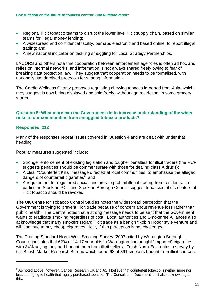- Regional illicit tobacco teams to disrupt the lower level illicit supply chain, based on similar teams for illegal money lending;
- A widespread and confidential facility, perhaps electronic and based online, to report illegal trading; and
- A new national indicator on tackling smuggling for Local Strategy Partnerships.

LACORS and others note that cooperation between enforcement agencies is often ad hoc and relies on informal networks, and information is not always shared freely owing to fear of breaking data protection law. They suggest that cooperation needs to be formalised, with nationally standardised protocols for sharing information.

The Cardio Wellness Charity proposes regulating chewing tobacco imported from Asia, which they suggest is now being displayed and sold freely, without age restriction, in some grocery stores.

#### **Question 5: What more can the Government do to increase understanding of the wider risks to our communities from smuggled tobacco products?**

#### **Responses: 212**

1

Many of the responses repeat issues covered in Question 4 and are dealt with under that heading.

Popular measures suggested include:

- Stronger enforcement of existing legislation and tougher penalties for illicit traders (the RCP suggests penalties should be commensurate with those for dealing class A drugs);
- A clear "Counterfeit Kills" message directed at local communities, to emphasise the alleged dangers of counterfeit cigarettes<sup>[6](#page-14-0)</sup>; and
- A requirement for registered social landlords to prohibit illegal trading from residents. In particular, Stockton PCT and Stockton Borough Council suggest tenancies of distributors of illicit tobacco should be revoked.

The UK Centre for Tobacco Control Studies notes the widespread perception that the Government is trying to prevent illicit trade because of concern about revenue loss rather than public health. The Centre notes that a strong message needs to be sent that the Government wants to eradicate smoking regardless of cost. Local authorities and Smokefree Alliances also acknowledge that many smokers regard illicit trade as a benign "Robin Hood" style venture and will continue to buy cheap cigarettes illicitly if this perception is not challenged.

The Trading Standard North West Smoking Survey (2007) cited by Warrington Borough Council indicates that 62% of 14-17 year olds in Warrington had bought "imported" cigarettes, with 34% saying they had bought them from illicit sellers. Fresh North East notes a survey by the British Market Research Bureau which found 68 of 391 smokers bought from illicit sources.

<span id="page-14-0"></span> $^6$  As noted above, however, Cancer Research UK and ASH believe that counterfeit tobacco is neither more nor less damaging to health that legally purchased tobacco. The Consultation Document itself also acknowledges this.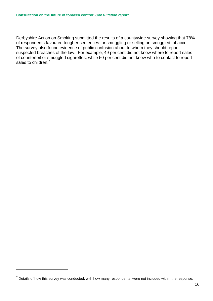Derbyshire Action on Smoking submitted the results of a countywide survey showing that 78% of respondents favoured tougher sentences for smuggling or selling on smuggled tobacco. The survey also found evidence of public confusion about to whom they should report suspected breaches of the law. For example, 49 per cent did not know where to report sales of counterfeit or smuggled cigarettes, while 50 per cent did not know who to contact to report sales to children.<sup>[7](#page-15-0)</sup>

1

<span id="page-15-0"></span> $<sup>7</sup>$  Details of how this survey was conducted, with how many respondents, were not included within the response.</sup>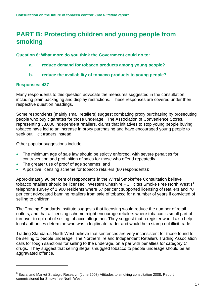### <span id="page-16-0"></span>**PART B: Protecting children and young people from smoking**

**Question 6: What more do you think the Government could do to:** 

- **a. reduce demand for tobacco products among young people?**
- **b. reduce the availability of tobacco products to young people?**

#### **Responses: 437**

1

Many respondents to this question advocate the measures suggested in the consultation, including plain packaging and display restrictions. These responses are covered under their respective question headings.

Some respondents (mainly small retailers) suggest combating proxy purchasing by prosecuting people who buy cigarettes for those underage. The Association of Convenience Stores, representing 33,000 independent retailers, claims that initiatives to stop young people buying tobacco have led to an increase in proxy purchasing and have encouraged young people to seek out illicit traders instead.

Other popular suggestions include:

- The minimum age of sale law should be strictly enforced, with severe penalties for contravention and prohibition of sales for those who offend repeatedly
- The greater use of proof of age schemes; and
- A positive licensing scheme for tobacco retailers (80 respondents);

Approximately 90 per cent of respondents in the Wirral Smokefree Consultation believe tobacco retailers should be licensed. Western Cheshire PCT cites Smoke Free North West's<sup>[8](#page-16-1)</sup> telephone survey of 1,900 residents where 57 per cent supported licensing of retailers and 70 per cent advocated banning retailers from sale of tobacco for a number of years if convicted of selling to children.

The Trading Standards Institute suggests that licensing would reduce the number of retail outlets, and that a licensing scheme might encourage retailers where tobacco is small part of turnover to opt out of selling tobacco altogether. They suggest that a register would also help local authorities determine who was a legitimate trader and would help stamp out illicit trade.

Trading Standards North West believe that sentences are very inconsistent for those found to be selling to people underage. The Northern Ireland Independent Retailers Trading Association calls for tough sanctions for selling to the underage, on a par with penalties for category C drugs. They suggest that selling illegal smuggled tobacco to people underage should be an aggravated offence.

<span id="page-16-1"></span><sup>&</sup>lt;sup>8</sup> Social and Market Strategic Research (June 2008) Attitudes to smoking consultation 2008, Report commissioned for Smokefree North West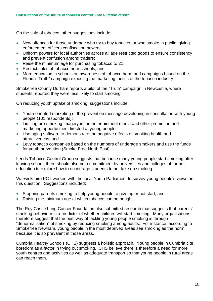On the sale of tobacco, other suggestions include:

- New offences for those underage who try to buy tobacco, or who smoke in public, giving enforcement officers confiscation powers;
- Uniform powers for local authorities across all age restricted goods to ensure consistency and prevent confusion among traders;
- Raise the minimum age for purchasing tobacco to 21;
- Restrict sales of tobacco near schools; and
- More education in schools on awareness of tobacco harm and campaigns based on the Florida "Truth" campaign exposing the marketing tactics of the tobacco industry.

Smokefree County Durham reports a pilot of the "Truth" campaign in Newcastle, where students reported they were less likely to start smoking.

On reducing youth uptake of smoking, suggestions include:

- Youth-oriented marketing of the prevention message developing in consultation with young people (101 respondents);
- Limiting pro-smoking imagery in the entertainment media and other promotion and marketing opportunities directed at young people;
- Use aging software to demonstrate the negative effects of smoking health and attractiveness; and
- Levy tobacco companies based on the numbers of underage smokers and use the funds for youth prevention (Smoke Free North East).

Leeds Tobacco Control Group suggests that because many young people start smoking after leaving school, there should also be a commitment by universities and colleges of further education to explore how to encourage students to not take up smoking.

Warwickshire PCT worked with the local Youth Parliament to survey young people's views on this question. Suggestions included:

- Stopping parents smoking to help young people to give up or not start; and
- Raising the minimum age at which tobacco can be bought.

The Roy Castle Lung Cancer Foundation also submitted research that suggests that parents' smoking behaviour is a predictor of whether children will start smoking. Many organisations therefore suggest that the best way of tackling young people smoking is through "denormalisation" of smoking by reducing smoking among adults. For instance, according to Smokefree Newham, young people in the most deprived areas see smoking as the norm because it is so prevalent in those areas.

Cumbria Healthy Schools (CHS) suggests a holistic approach. Young people in Cumbria cite boredom as a factor in trying out smoking. CHS believe there is therefore a need for more youth centres and activities as well as adequate transport so that young people in rural areas can reach them.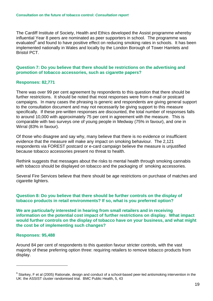The Cardiff Institute of Society, Health and Ethics developed the Assist programme whereby influential Year 8 peers are nominated as peer supporters in school. The programme was evaluated<sup>[9](#page-18-0)</sup> and found to have positive effect on reducing smoking rates in schools. It has been implemented nationally in Wales and locally by the London Borough of Tower Hamlets and Bristol PCT.

#### **Question 7: Do you believe that there should be restrictions on the advertising and promotion of tobacco accessories, such as cigarette papers?**

#### **Responses: 82,771**

There was over 99 per cent agreement by respondents to this question that there should be further restrictions. It should be noted that most responses were from e-mail or postcard campaigns. In many cases the phrasing is generic and respondents are giving general support to the consultation document and may not necessarily be giving support to this measure specifically. If these pre-written responses are discounted, the total number of responses falls to around 10,000 with approximately 75 per cent in agreement with the measure. This is comparable with two surveys one of young people in Medway (75% in favour), and one in Wirral (83% in favour).

Of those who disagree and say why, many believe that there is no evidence or insufficient evidence that the measure will make any impact on smoking behaviour. The 2,121 respondents via FOREST postcard or e-card campaign believe the measure is unjustified because tobacco accessories present no threat to health.

Rethink suggests that messages about the risks to mental health through smoking cannabis with tobacco should be displayed on tobacco and the packaging of smoking accessories.

Several Fire Services believe that there should be age restrictions on purchase of matches and cigarette lighters.

#### **Question 8: Do you believe that there should be further controls on the display of tobacco products in retail environments? If so, what is you preferred option?**

**We are particularly interested in hearing from small retailers and in receiving information on the potential cost impact of further restrictions on display. What impact would further controls on the display of tobacco have on your business, and what might the cost be of implementing such changes?** 

#### **Responses: 95,488**

1

Around 84 per cent of respondents to this question favour stricter controls, with the vast majority of these preferring option three: requiring retailers to remove tobacco products from display.

<span id="page-18-0"></span> $^9$  Starkey, F et al (2005) Rationale, design and conduct of a school-based peer-led antismoking intervention in the UK: the ASSIST cluster randomised trial. BMC Public Health, 5, 43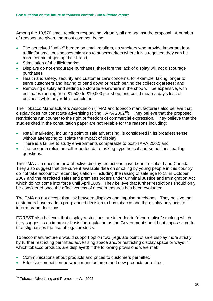Among the 10,570 small retailers responding, virtually all are against the proposal. A number of reasons are given, the most common being:

- The perceived "unfair" burden on small retailers, as smokers who provide important foottraffic for small businesses might go to supermarkets where it is suggested they can be more certain of getting their brand:
- Stimulation of the illicit market;
- Displays do not encourage purchases, therefore the lack of display will not discourage purchases;
- Health and safety, security and customer care concerns, for example, taking longer to serve customers and having to bend down or reach behind the collect cigarettes; and
- Removing display and setting up storage elsewhere in the shop will be expensive, with estimates ranging from £1,500 to £10,000 per shop, and could mean a day's loss of business while any refit is completed.

The Tobacco Manufacturers Association (TMA) and tobacco manufacturers also believe that display does not constitute advertising (citing TAPA 2002<sup>10</sup>). They believe that the proposed restrictions run counter to the right of freedom of commercial expression. They believe that the studies cited in the consultation paper are not reliable for the reasons including:

- Retail marketing, including point of sale advertising, is considered in its broadest sense without attempting to isolate the impact of display;
- There is a failure to study environments comparable to post-TAPA 2002; and
- The research relies on self-reported data, asking hypothetical and sometimes leading questions.

The TMA also question how effective display restrictions have been in Iceland and Canada. They also suggest that the current available data on smoking by young people in this country do not take account of recent legislation – including the raising of sale age to 18 in October 2007 and the restricted sales and premises orders under Criminal Justice and Immigration Act which do not come into force until April 2009. They believe that further restrictions should only be considered once the effectiveness of these measures has been evaluated.

The TMA do not accept that link between displays and impulse purchases. They believe that customers have made a pre-planned decision to buy tobacco and the display only acts to inform brand decisions.

FOREST also believes that display restrictions are intended to "denormalise" smoking which they suggest is an improper basis for regulation as the Government should not impose a code that stigmatises the use of legal products

Tobacco manufacturers would support option two (regulate point of sale display more strictly by further restricting permitted advertising space and/or restricting display space or ways in which tobacco products are displayed) if the following provisions were met:

- Communications about products and prices to customers permitted;
- Effective competition between manufacturers and new products permitted;

1

<span id="page-19-0"></span><sup>&</sup>lt;sup>10</sup> Tobacco Advertising and Promotions Act 2002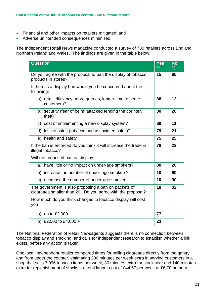- Financial and other impacts on retailers mitigated; and
- Adverse unintended consequences minimised.

The Independent Retail News magazine conducted a survey of 780 retailers across England, Northern Ireland and Wales. The findings are given in the table below:

| <b>Question</b>                                                                                                     | Yes<br>$\frac{9}{6}$ | <b>No</b><br>$\%$ |
|---------------------------------------------------------------------------------------------------------------------|----------------------|-------------------|
| Do you agree with the proposal to ban the display of tobacco<br>products in stores?                                 | 15                   | 85                |
| If there is a display ban would you be concerned about the<br>following:                                            |                      |                   |
| a) retail efficiency, more queues, longer time to serve<br>customers?                                               | 88                   | 12                |
| b) security (fear of being attacked tending the counter,<br>theft)?                                                 | 80                   | 20                |
| cost of implementing a new display system?<br>C)                                                                    | 89                   | 11                |
| loss of sales (tobacco and associated sales)?<br>d)                                                                 | 79                   | 21                |
| e) health and safety                                                                                                | 75                   | 25                |
| If the ban is enforced do you think it will increase the trade in<br>illegal tobacco?                               | 78                   | 22                |
| Will the proposed ban on display:                                                                                   |                      |                   |
| a) have little or no impact on under-age smokers?                                                                   | 80                   | 20                |
| b) increase the number of under-age smokers?                                                                        | 10                   | 90                |
| c) decrease the number of under-age smokers                                                                         | 10                   | 90                |
| The government is also proposing a ban on packets of<br>cigarettes smaller than 20. Do you agree with the proposal? | 18                   | 82                |
| How much do you think changes to tobacco display will cost<br>you                                                   |                      |                   |
| a) up to $£2,000$                                                                                                   | 77                   |                   |
| b) £2,000 to £4,000 +                                                                                               | 23                   |                   |

The National Federation of Retail Newsagents suggests there is no connection between tobacco display and smoking, and calls for independent research to establish whether a link exists, before any action is taken.

One local independent retailer compared times for selling cigarettes directly from the gantry and from under the counter, estimating 230 minutes per week extra in serving customers in a shop that sells 3,096 tobacco items per week, 30 minutes extra for stock take and 140 minutes extra for replenishment of stocks – a total labour cost of £44.67 per week at £6.70 an hour.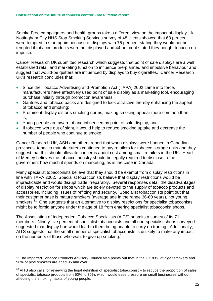Smoke Free campaigners and health groups take a different view on the impact of display. A Nottingham City NHS Stop Smoking Services survey of 48 clients showed that 63 per cent were tempted to start again because of displays with 75 per cent stating they would not be tempted if tobacco products were not displayed and 44 per cent stated they bought tobacco on impulse.

Cancer Research UK submitted research which suggests that point of sale displays are a well established retail and marketing function to influence pre-planned and impulsive behaviour and suggest that would-be quitters are influenced by displays to buy cigarettes. Cancer Research UK's research concludes that:

- Since the Tobacco Advertising and Promotion Act (TAPA) 2002 came into force, manufacturers have effectively used point of sale display as a marketing tool, encouraging purchase initially through promotion awareness;
- Gantries and tobacco packs are designed to look attractive thereby enhancing the appeal of tobacco and smoking;
- Prominent display distorts smoking norms; making smoking appear more common than it is;
- Young people are aware of and influenced by point of sale display; and
- If tobacco were out of sight, it would help to reduce smoking uptake and decrease the number of people who continue to smoke.

Cancer Research UK, ASH and others report that when displays were banned in Canadian provinces, tobacco manufacturers continued to pay retailers for tobacco storage units and they suggest that this should alleviate concerns about cost among small retailers in the UK. Heart of Mersey believes the tobacco industry should be legally required to disclose to the government how much it spends on marketing, as is the case in Canada.

Many specialist tobacconists believe that they should be exempt from display restrictions in line with TAPA 2002. Specialist tobacconists believe that display restrictions would be impracticable and would disrupt trade irreparably. Several responses detail the disadvantages of display restriction for shops which are solely devoted to the supply of tobacco products and accessories, including issues of refitting and security. Specialist tobacconists point out that their customer base is mature smokers (average age in the range 36-60 years), not young smokers.<sup>11</sup> One suggests that an alternative to display restrictions for specialist tobacconists might be to forbid anyone under the age of 18 from entering specialist tobacconist shops.

The Association of Independent Tobacco Specialists (AITS) submits a survey of its 71 members. Ninety-five percent of specialist tobacconists and all non-specialist shops surveyed suggested that display ban would lead to them being unable to carry on trading. Additionally, AITS suggests that the small number of specialist tobacconists is unlikely to make any impact on the numbers of those who want to give up smoking.<sup>12</sup>

1

<span id="page-21-0"></span> $11$  The Imported Tobacco Products Advisory Council also points out that in the UK 83% of cigar smokers and 96% of pipe smokers are aged 35 and over.

<span id="page-21-1"></span> $12$  AITS also calls for reviewing the legal definition of specialist tobacconist – to reduce the proportion of sales of specialist tobacco products from 50% to 30%, which would ease pressure on small businesses without affecting the smoking habits of young people.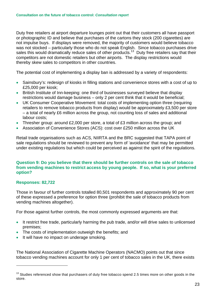Duty free retailers at airport departure lounges point out that their customers all have passport or photographic ID and believe that purchases of the cartons they stock (200 cigarettes) are not impulse buys. If displays were removed, the majority of customers would believe tobacco was not stocked – particularly those who do not speak English. Since tobacco purchases drive sales this would dramatically reduce sales of other products.<sup>13</sup> Duty free retailers say that their competitors are not domestic retailers but other airports. The display restrictions would thereby skew sales to competitors in other countries.

The potential cost of implementing a display ban is addressed by a variety of respondents:

- Sainsbury's: redesign of kiosks in filling stations and convenience stores with a cost of up to £25,000 per kiosk;
- British Institute of Inn-keeping: one third of businesses surveved believe that display restrictions would damage business – only 2 per cent think that it would be beneficial;
- UK Consumer Cooperative Movement: total costs of implementing option three (requiring retailers to remove tobacco products from display) would be approximately £3,500 per store – a total of nearly £6 million across the group, not counting loss of sales and additional labour costs;
- Thresher group: around £2,000 per store, a total of £3 million across the group; and
- Association of Convenience Stores (ACS): cost over £250 million across the UK

Retail trade organisations such as ACS, NIIRTA and the BRC suggested that TAPA point of sale regulations should be reviewed to prevent any form of 'avoidance' that may be permitted under existing regulations but which could be perceived as against the spirit of the regulations.

#### **Question 9: Do you believe that there should be further controls on the sale of tobacco from vending machines to restrict access by young people. If so, what is your preferred option?**

#### **Responses: 82,722**

1

Those in favour of further controls totalled 80,501 respondents and approximately 90 per cent of these expressed a preference for option three (prohibit the sale of tobacco products from vending machines altogether).

For those against further controls, the most commonly expressed arguments are that:

- It restrict free trade, particularly harming the pub trade, and/or will drive sales to unlicensed premises;
- The costs of implementation outweigh the benefits; and
- It will have no impact on underage smoking.

The National Association of Cigarette Machine Operators (NACMO) points out that since tobacco vending machines account for only 1 per cent of tobacco sales in the UK, there exists

<span id="page-22-0"></span> $13$  Studies referenced show that purchasers of duty free tobacco spend 2.5 times more on other goods in the store.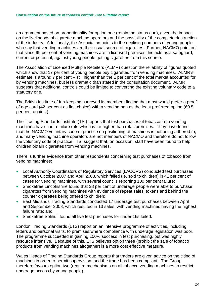an argument based on proportionality for option one (retain the status quo), given the impact on the livelihoods of cigarette machine operators and the possibility of the complete destruction of the industry. Additionally, the Association points to the declining numbers of young people who say that vending machines are their usual source of cigarettes. Further, NACMO point out that since 99 per cent of vending machines are in licensed premises this acts as a safeguard, current or potential, against young people getting cigarettes from this source.

The Association of Licensed Multiple Retailers (ALMR) question the reliability of figures quoted which show that 17 per cent of young people buy cigarettes from vending machines. ALMR's estimate is around 7 per cent – still higher than the 1 per cent of the total market accounted for by vending machines, but less dramatic than stated in the consultation document. ALMR suggests that additional controls could be limited to converting the existing voluntary code to a statutory one.

The British Institute of Inn-keeping surveyed its members finding that most would prefer a proof of age card (42 per cent as first choice) with a vending ban as the least preferred option (60.5 per cent against).

The Trading Standards Institute (TSI) reports that test purchases of tobacco from vending machines have had a failure rate which is far higher than retail premises. They have found that the NACMO voluntary code of practice on positioning of machines is not being adhered to, and many vending machine operators are not members of NACMO and therefore do not follow the voluntary code of practice. TSI suggest that, on occasion, staff have been found to help children obtain cigarettes from vending machines.

There is further evidence from other respondents concerning test purchases of tobacco from vending machines:

- Local Authority Coordinators of Regulatory Services (LACORS) conducted test purchases between October 2007 and April 2008, which failed (ie, sold to children) in 41 per cent of cases for vending machines, with several councils reporting 100 per cent failure;
- Smokefree Lincolnshire found that 38 per cent of underage people were able to purchase cigarettes from vending machines with evidence of repeat sales, tokens and behind the counter cigarettes being offered to children;
- East Midlands Trading Standards conducted 17 underage test purchases between April and September 2008, which resulted in 13 sales, with vending machines having the highest failure rate; and
- Smokefree Solihull found all five test purchases for under 16s failed.

London Trading Standards (LTS) report on an intensive programme of activities, including letters and personal visits, to premises where compliance with underage legislation was poor. The programme succeeded in gaining 100% success in test purchasing, but was highly resource intensive. Because of this, LTS believes option three (prohibit the sale of tobacco products from vending machines altogether) is a more cost effective measure.

Wales Heads of Trading Standards Group reports that traders are given advice on the citing of machines in order to permit supervision, and the trade has been compliant. The Group therefore favours option two (require mechanisms on all tobacco vending machines to restrict underage access by young people).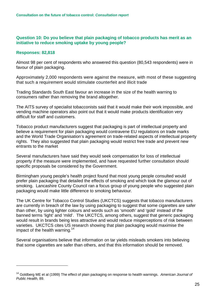#### **Question 10: Do you believe that plain packaging of tobacco products has merit as an initiative to reduce smoking uptake by young people?**

#### **Responses: 82,818**

1

Almost 98 per cent of respondents who answered this question (80,543 respondents) were in favour of plain packaging.

Approximately 2,000 respondents were against the measure, with most of these suggesting that such a requirement would stimulate counterfeit and illicit trade

Trading Standards South East favour an increase in the size of the health warning to consumers rather than removing the brand altogether.

The AITS survey of specialist tobacconists said that it would make their work impossible, and vending machine operators also point out that it would make products identification very difficult for staff and customers.

Tobacco product manufacturers suggest that packaging is part of intellectual property and believe a requirement for plain packaging would contravene EU regulations on trade marks and the World Trade Organisation's agreement on trade-related aspects of intellectual property rights. They also suggested that plain packaging would restrict free trade and prevent new entrants to the market

Several manufacturers have said they would seek compensation for loss of intellectual property if the measure were implemented, and have requested further consultation should specific proposals be considered by the Government.

Birmingham young people's health project found that most young people consulted would prefer plain packaging that detailed the effects of smoking and which took the glamour out of smoking. Lancashire County Council ran a focus group of young people who suggested plain packaging would make little difference to smoking behaviour.

The UK Centre for Tobacco Control Studies (UKCTCS) suggests that tobacco manufacturers are currently in breach of the law by using packaging to suggest that some cigarettes are safer than other, by using lighter colours and words such as 'smooth' and 'gold' instead of the banned terms 'light' and 'mild'. The UKCTCS, among others, suggest that generic packaging would result in brands being less attractive and would reduce misperceptions of risk between varieties. UKCTCS cites US research showing that plain packaging would maximise the impact of the health warning.<sup>[14](#page-24-0)</sup>

Several organisations believe that information on tar yields misleads smokers into believing that some cigarettes are safer than others, and that this information should be removed.

<span id="page-24-0"></span><sup>14</sup> Goldberg ME et al (1999) The effect of plain packaging on response to health warnings. *American Journal of Public Health,* 89.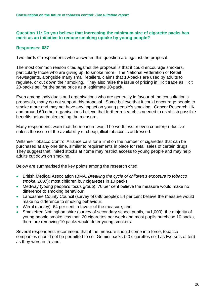#### **Question 11: Do you believe that increasing the minimum size of cigarette packs has merit as an initiative to reduce smoking uptake by young people?**

#### **Responses: 687**

Two thirds of respondents who answered this question are against the proposal.

The most common reason cited against the proposal is that it could encourage smokers, particularly those who are giving up, to smoke more. The National Federation of Retail Newsagents, alongside many small retailers, claims that 10-packs are used by adults to regulate, or cut down their smoking. They also raise the issue of pricing in illicit trade as illicit 20-packs sell for the same price as a legitimate 10-pack.

Even among individuals and organisations who are generally in favour of the consultation's proposals, many do not support this proposal. Some believe that it could encourage people to smoke more and may not have any impact on young people's smoking. Cancer Research UK and around 60 other organisations believe that further research is needed to establish possible benefits before implementing the measure.

Many respondents warn that the measure would be worthless or even counterproductive unless the issue of the availability of cheap, illicit tobacco is addressed.

Wiltshire Tobacco Control Alliance calls for a limit on the number of cigarettes that can be purchased at any one time, similar to requirements in place for retail sales of certain drugs. They suggest that limited stocks at home may restrict access to young people and may help adults cut down on smoking.

Below are summarised the key points among the research cited:

- British Medical Association (BMA, *Breaking the cycle of children's exposure to tobacco smoke, 2007*): most children buy cigarettes in 10 packs;
- Medway (young people's focus group): 70 per cent believe the measure would make no difference to smoking behaviour;
- Lancashire County Council (survey of 686 people): 54 per cent believe the measure would make no difference to smoking behaviour;
- Wirral (survey): 64 per cent in favour of the measure; and
- Smokefree Nottinghamshire (survey of secondary school pupils, n=1,000): the majority of young people smoke less than 20 cigarettes per week and most pupils purchase 10 packs, therefore removing 10 packs would deter young smokers.

Several respondents recommend that if the measure should come into force, tobacco companies should not be permitted to sell Gemini packs (20 cigarettes sold as two sets of ten) as they were in Ireland.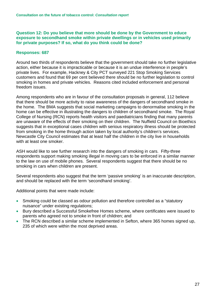**Question 12: Do you believe that more should be done by the Government to educe exposure to secondhand smoke within private dwellings or in vehicles used primarily for private purposes? If so, what do you think could be done?** 

#### **Responses: 687**

Around two thirds of respondents believe that the government should take no further legislative action, either because it is impracticable or because it is an undue interference in people's private lives. For example, Hackney & City PCT surveyed 221 Stop Smoking Services customers and found that 69 per cent believed there should be no further legislation to control smoking in homes and private vehicles. Reasons cited included enforcement and personal freedom issues.

Among respondents who are in favour of the consultation proposals in general, 112 believe that there should be more activity to raise awareness of the dangers of secondhand smoke in the home. The BMA suggests that social marketing campaigns to denormalise smoking in the home can be effective in illustrating the dangers to children of secondhand smoke. The Royal College of Nursing (RCN) reports health visitors and paediatricians finding that many parents are unaware of the effects of their smoking on their children. The Nuffield Council on Bioethics suggests that in exceptional cases children with serious respiratory illness should be protected from smoking in the home through action taken by local authority's children's services. Newcastle City Council estimates that at least half the children in the city live in households with at least one smoker.

ASH would like to see further research into the dangers of smoking in cars. Fifty-three respondents support making smoking illegal in moving cars to be enforced in a similar manner to the law on use of mobile phones. Several respondents suggest that there should be no smoking in cars when children are present.

Several respondents also suggest that the term 'passive smoking' is an inaccurate description, and should be replaced with the term 'secondhand smoking'.

Additional points that were made include:

- Smoking could be classed as odour pollution and therefore controlled as a "statutory" nuisance" under existing regulations;
- Bury described a Successful Smokefree Homes scheme, where certificates were issued to parents who agreed not to smoke in front of children; and
- The RCN described a similar scheme implemented in Sefton, where 365 homes signed up, 235 of which were within the most deprived areas.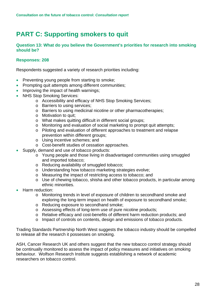## <span id="page-27-0"></span>**PART C: Supporting smokers to quit**

#### **Question 13: What do you believe the Government's priorities for research into smoking should be?**

#### **Responses: 208**

Respondents suggested a variety of research priorities including:

- Preventing young people from starting to smoke;
- Prompting quit attempts among different communities;
- Improving the impact of health warnings;
- NHS Stop Smoking Services:
	- o Accessibility and efficacy of NHS Stop Smoking Services;
	- o Barriers to using services;
	- o Barriers to using medicinal nicotine or other pharmacotherapies;
	- o Motivation to quit;
	- o What makes quitting difficult in different social groups;
	- o Monitoring and evaluation of social marketing to prompt quit attempts;
	- o Piloting and evaluation of different approaches to treatment and relapse prevention within different groups;
	- o Using incentive schemes; and
	- o Cost-benefit studies of cessation approaches.
- Supply, demand and use of tobacco products:
	- o Young people and those living in disadvantaged communities using smuggled and imported tobacco;
	- o Reducing availability of smuggled tobacco;
	- o Understanding how tobacco marketing strategies evolve;
	- o Measuring the impact of restricting access to tobacco; and
	- o Use of chewing tobacco, shisha and other tobacco products, in particular among ethnic minorities.
- Harm reduction:
	- o Monitoring trends in level of exposure of children to secondhand smoke and exploring the long-term impact on health of exposure to secondhand smoke;
	- o Reducing exposure to secondhand smoke;
	- o Assessing effects of long-term use of pure nicotine products;
	- o Relative efficacy and cost-benefits of different harm reduction products; and
	- o Impact of controls on contents, design and emissions of tobacco products.

Trading Standards Partnership North West suggests the tobacco industry should be compelled to release all the research it possesses on smoking.

ASH, Cancer Research UK and others suggest that the new tobacco control strategy should be continually monitored to assess the impact of policy measures and initiatives on smoking behaviour. Wolfson Research Institute suggests establishing a network of academic researchers on tobacco control.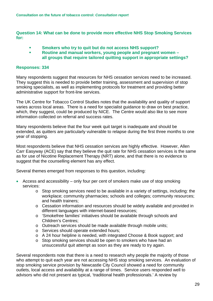**Question 14: What can be done to provide more effective NHS Stop Smoking Services for:** 

- **Smokers who try to quit but do not access NHS support?**
- **Routine and manual workers, young people and pregnant women all groups that require tailored quitting support in appropriate settings?**

#### **Responses: 334**

Many respondents suggest that resources for NHS cessation services need to be increased. They suggest this is needed to provide better training, assessment and supervision of stop smoking specialists, as well as implementing protocols for treatment and providing better administrative support for front-line services.

The UK Centre for Tobacco Control Studies notes that the availability and quality of support varies across local areas. There is a need for specialist guidance to draw on best practice, which, they suggest, could be produced by NICE. The Centre would also like to see more information collected on referral and success rates.

Many respondents believe that the four week quit target is inadequate and should be extended, as quitters are particularly vulnerable to relapse during the first three months to one year of stopping.

Most respondents believe that NHS cessation services are highly effective. However, Allen Carr Easyway (ACE) say that they believe the quit rate for NHS cessation services is the same as for use of Nicotine Replacement Therapy (NRT) alone, and that there is no evidence to suggest that the counselling element has any effect.

Several themes emerged from responses to this question, including:

- Access and accessibility only four per cent of smokers make use of stop smoking services:
	- o Stop smoking services need to be available in a variety of settings, including: the workplace; community pharmacies; schools and colleges; community resources; and health trainers;
	- o Cessation information and resources should be widely available and provided in different languages with internet-based resources;
	- o 'Smokefree families' initiatives should be available through schools and Children's Centres;
	- o Outreach services should be made available through mobile units;
	- o Services should operate extended hours;
	- o A 24 hour helpline is needed, with integrated Choose & Book support; and
	- o Stop smoking services should be open to smokers who have had an unsuccessful quit attempt as soon as they are ready to try again.

Several respondents note that there is a need to research why people the majority of those who attempt to quit each year are not accessing NHS stop smoking services. An evaluation of stop smoking service provision by Newcastle City Council showed a need for community outlets, local access and availability at a range of times. Service users responded well to advisors who did not present as typical, 'traditional health professionals.' A review by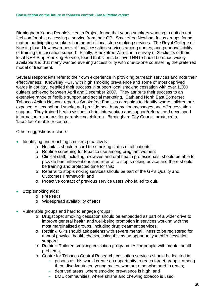Birmingham Young People's Health Project found that young smokers wanting to quit do not feel comfortable accessing a service from their GP. Smokefree Newham focus groups found that no participating smokers had heard of local stop smoking services. The Royal College of Nursing found low awareness of local cessation services among nurses, and poor availability of training for cessation support. Finally, Smokefree Wirral, in a survey of 29 clients of their local NHS Stop Smoking Service, found that clients believed NRT should be made widely available and that many wanted evening accessibility with one-to-one counselling the preferred model of treatment.

Several respondents refer to their own experience in providing outreach services and note their effectiveness. Knowsley PCT, with high smoking prevalence and some of most deprived wards in country, detailed their success in support local smoking cessation with over 1,300 quitters achieved between April and December 2007. They attribute their success to an extensive range of flexible support and social marketing. Bath and North East Somerset Tobacco Action Network report a Smokefree Families campaign to identify where children are exposed to secondhand smoke and provide health promotion messages and offer cessation support. They trained health visitors in brief intervention and support/referral and developed information resources for parents and children. Birmingham City Council produced a 'face2face' mobile resource.

Other suggestions include:

- Identifying and reaching smokers proactively:
	- o Hospitals should record the smoking status of all patients;
	- o Routine screening for tobacco use among pregnant women;
	- o Clinical staff, including midwives and oral health professionals, should be able to provide brief interventions and referral to stop smoking advice and there should be training and protected time for this;
	- o Referral to stop smoking services should be part of the GP's Quality and Outcomes Framework; and
	- o Proactive contact of previous service users who failed to quit.
- Stop smoking aids:
	- o Free NRT
	- o Widespread availability of NRT
- Vulnerable groups and hard to engage groups:
	- o Drugscope: smoking cessation should be embedded as part of a wider drive to improve general health and well-being promotion in services working with the most marginalised groups, including drug treatment services;
	- o Rethink: GPs should ask patients with severe mental illness to be registered for annual physical health checks, using this as an opportunity to offer cessation support;
	- o Rethink: Tailored smoking cessation programmes for people with mental health problems;
	- o Centre for Tobacco Control Research: cessation services should be located in:
		- prisons as this would create an opportunity to reach target groups, among them disadvantaged young males, who are otherwise hard to reach;
		- deprived areas, where smoking prevalence is high; and
		- BME communities, where shisha and chewing tobacco is used.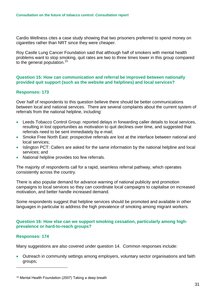Cardio Wellness cites a case study showing that two prisoners preferred to spend money on cigarettes rather than NRT since they were cheaper.

Roy Castle Lung Cancer Foundation said that although half of smokers with mental health problems want to stop smoking, quit rates are two to three times lower in this group compared to the general population.<sup>15</sup>

#### **Question 15: How can communication and referral be improved between nationally provided quit support (such as the website and helplines) and local services?**

#### **Responses: 173**

Over half of respondents to this question believe there should be better communications between local and national services. There are several complaints about the current system of referrals from the national helpline, including:

- Leeds Tobacco Control Group: reported delays in forwarding caller details to local services, resulting in lost opportunities as motivation to quit declines over time, and suggested that referrals need to be sent immediately by e-mail;
- Smoke Free North East: prospective referrals are lost at the interface between national and local services;
- Islington PCT: Callers are asked for the same information by the national helpline and local services; and
- National helpline provides too few referrals.

The majority of respondents call for a rapid, seamless referral pathway, which operates consistently across the country.

There is also popular demand for advance warning of national publicity and promotion campaigns to local services so they can coordinate local campaigns to capitalise on increased motivation, and better handle increased demand.

Some respondents suggest that helpline services should be promoted and available in other languages in particular to address the high prevalence of smoking among migrant workers.

#### **Question 16: How else can we support smoking cessation, particularly among highprevalence or hard-to-reach groups?**

#### **Responses: 174**

1

Many suggestions are also covered under question 14. Common responses include:

• Outreach in community settings among employers, voluntary sector organisations and faith groups;

<span id="page-30-0"></span><sup>15</sup> Mental Health Foundation (2007) Taking a deep breath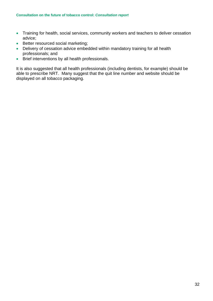- Training for health, social services, community workers and teachers to deliver cessation advice;
- Better resourced social marketing;
- Delivery of cessation advice embedded within mandatory training for all health professionals; and
- Brief interventions by all health professionals.

It is also suggested that all health professionals (including dentists, for example) should be able to prescribe NRT. Many suggest that the quit line number and website should be displayed on all tobacco packaging.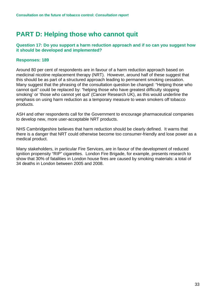### <span id="page-32-0"></span>**PART D: Helping those who cannot quit**

#### **Question 17: Do you support a harm reduction approach and if so can you suggest how it should be developed and implemented?**

#### **Responses: 189**

Around 80 per cent of respondents are in favour of a harm reduction approach based on medicinal nicotine replacement therapy (NRT). However, around half of these suggest that this should be as part of a structured approach leading to permanent smoking cessation. Many suggest that the phrasing of the consultation question be changed: "Helping those who cannot quit" could be replaced by: "helping those who have greatest difficulty stopping smoking' or 'those who cannot yet quit' (Cancer Research UK), as this would underline the emphasis on using harm reduction as a temporary measure to wean smokers off tobacco products.

ASH and other respondents call for the Government to encourage pharmaceutical companies to develop new, more user-acceptable NRT products.

NHS Cambridgeshire believes that harm reduction should be clearly defined. It warns that there is a danger that NRT could otherwise become too consumer-friendly and lose power as a medical product.

Many stakeholders, in particular Fire Services, are in favour of the development of reduced ignition propensity "RIP" cigarettes. London Fire Brigade, for example, presents research to show that 30% of fatalities in London house fires are caused by smoking materials: a total of 34 deaths in London between 2005 and 2008.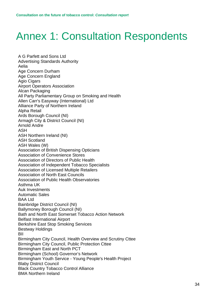# <span id="page-33-0"></span>Annex 1: Consultation Respondents

A G Parfett and Sons Ltd Advertising Standards Authority Aelia Age Concern Durham Age Concern England Agio Cigars Airport Operators Association Alcan Packaging All Party Parliamentary Group on Smoking and Health Allen Carr's Easyway (International) Ltd Alliance Party of Northern Ireland Alpha Retail Ards Borough Council (NI) Armagh City & District Council (NI) Arnold Andre ASH ASH Northern Ireland (NI) ASH Scotland ASH Wales (W) Association of British Dispensing Opticians Association of Convenience Stores Association of Directors of Public Health Association of Independent Tobacco Specialists Association of Licensed Multiple Retailers Association of North East Councils Association of Public Health Observatories Asthma UK Auk Investments Automatic Sales BAA Ltd Bainbridge District Council (NI) Ballymoney Borough Council (NI) Bath and North East Somerset Tobacco Action Network Belfast International Airport Berkshire East Stop Smoking Services Bestway Holdings BII Birmingham City Council, Health Overview and Scrutiny Cttee Birmingham City Council, Public Protection Cttee Birmingham East and North PCT Birmingham (School) Governor's Network Birmingham Youth Service - Young People's Health Project Blaby District Council Black Country Tobacco Control Alliance BMA Northern Ireland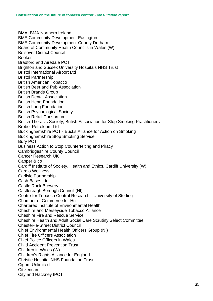BMA, BMA Northern Ireland BME Community Development Easington BME Community Development County Durham Board of Community Health Councils in Wales (W) Bolsover District Council Booker Bradford and Airedale PCT Brighton and Sussex University Hospitals NHS Trust Bristol International Airport Ltd Bristol Partnership British American Tobacco British Beer and Pub Association British Brands Group British Dental Association British Heart Foundation British Lung Foundation British Psychological Society British Retail Consortium British Thoracic Society, British Association for Stop Smoking Practitioners Brobot Petroleum Ltd Buckinghamshire PCT - Bucks Alliance for Action on Smoking Buckinghamshire Stop Smoking Service Bury PCT Business Action to Stop Counterfeiting and Piracy Cambridgeshire County Council Cancer Research UK Capper & co Cardiff Institute of Society, Health and Ethics, Cardiff University (W) Cardio Wellness Carlisle Partnership Cash Bases Ltd Castle Rock Brewery Castlereagh Borough Council (NI) Centre for Tobacco Control Research - University of Sterling Chamber of Commerce for Hull Chartered Institute of Environmental Health Cheshire and Merseyside Tobacco Alliance Cheshire Fire and Rescue Service Cheshire Health and Adult Social Care Scrutiny Select Committee Chester-le-Street District Council Chief Environmental Health Officers Group (NI) Chief Fire Officers Association Chief Police Officers in Wales Child Accident Prevention Trust Children in Wales (W) Children's Rights Alliance for England Christie Hospital NHS Foundation Trust Cigars Unlimited **Citizencard** City and Hackney tPCT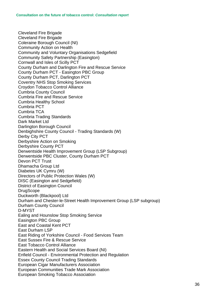Cleveland Fire Brigade Cleveland Fire Brigade Coleraine Borough Council (NI) Community Action on Health Community and Voluntary Organisations Sedgefield Community Safety Partnership (Easington) Cornwall and Isles of Scilly PCT County Durham and Darlington Fire and Rescue Service County Durham PCT - Easington PBC Group County Durham PCT, Darlington PCT Coventry NHS Stop Smoking Services Croydon Tobacco Control Alliance Cumbria County Council Cumbria Fire and Rescue Service Cumbria Healthy School Cumbria PCT Cumbria TCA Cumbria Trading Standards Dark Market Ltd Darlington Borough Council Denbighshire County Council - Trading Standards (W) Derby City PCT Derbyshire Action on Smoking Derbyshire County PCT Derwentside Health Improvement Group (LSP Subgroup) Derwentside PBC Cluster, County Durham PCT Devon PCT Trust Dhamacha Group Ltd Diabetes UK Cymru (W) Directors of Public Protection Wales (W) DISC (Easington and Sedgefield) District of Easington Council **DrugScope** Duckworth (Blackpool) Ltd Durham and Chester-le-Street Health Improvement Group (LSP subgroup) Durham County Council D-MYST Ealing and Hounslow Stop Smoking Service Easington PBC Group East and Coastal Kent PCT East Durham LSP East Riding of Yorkshire Council - Food Services Team East Sussex Fire & Rescue Service East Tobacco Control Alliance Eastern Health and Social Services Board (NI) Enfield Council - Environmental Protection and Regulation Essex County Council Trading Standards European Cigar Manufacturers Association European Communities Trade Mark Association European Smoking Tobacco Association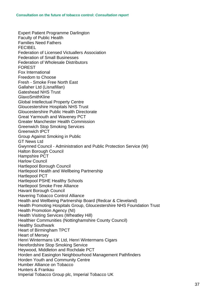Expert Patient Programme Darlington Faculty of Public Health Families Need Fathers **FECIREL** Federation of Licensed Victuallers Association Federation of Small Businesses Federation of Wholesale Distributors FOREST Fox International Freedom to Choose Fresh - Smoke Free North East Gallaher Ltd (Lisnafillan) Gateshead NHS Trust GlaxoSmithKline Global Intellectual Property Centre Gloucestershire Hospitals NHS Trust Gloucestershire Public Health Directorate Great Yarmouth and Waveney PCT Greater Manchester Health Commission Greenwich Stop Smoking Services Greenwich tPCT Group Against Smoking in Public GT News Ltd Gwynned Council - Administration and Public Protection Service (W) Halton Borough Council Hampshire PCT Harlow Council Hartlepool Borough Council Hartlepool Health and Wellbeing Partnership Hartlepool PCT Hartlepool PSHE Healthy Schools Hartlepool Smoke Free Alliance Havant Borough Council Havering Tobacco Control Alliance Health and Wellbeing Partnership Board (Redcar & Cleveland) Health Promoting Hospitals Group, Gloucestershire NHS Foundation Trust Health Promotion Agency (NI) Health Visiting Services (Wheatley Hill) Healthier Communities (Nottinghamshire County Council) Healthy Southwark Heart of Birmingham TPCT Heart of Mersey Henri Wintermans UK Ltd, Henri Wintermans Cigars Herefordshire Stop Smoking Service Heywood, Middleton and Rochdale PCT Horden and Easington Neighbourhood Management Pathfinders Horden Youth and Community Centre Humber Alliance on Tobacco Hunters & Frankau Imperial Tobacco Group plc, Imperial Tobacco UK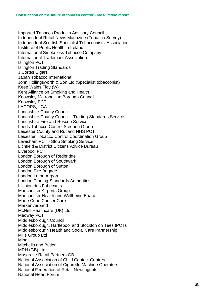Imported Tobacco Products Advis ory Council Independent Retail News Magazine (Tobacco Survey) Independent Scottish Specialist Tobacconis ts' Association Institute of Public Health in Ireland International Smokeless Tobacco Company International Trademark Association Islington PCT Islington Trading Standards J Cortes Cigars Japan Tobacco International John Hollingsworth & Son Ltd (Specialist tobacconist) Keep Wales Tidy (W) Kent Alliance on Smoking and Health Knows ley Metropolitan Borough Council Knows ley PCT LACORS, LGA Lancashire County Council Lancashire County Council - Trading Standards Service Lancashire Fire and Rescue Service Leeds Tobacco Control Steering Group Leicester County and Rutland NHS PCT Leicester Tobacco Control Coordination Group Lewisham PCT - Stop Smoking Service Lichfield & District Citizens Advic e Bureau Liverpool PCT London Borough of Redbridge London Borough of Southwark London Borough of Sutton London F ire Brigade London Luton Airport London Trading Standards Authorities L'Union des Fabricants Manchester Airports Group Manchester Health and Wellbeing Board Marie Curie Cancer Care **Markenverband** McNeil Healthcare (UK) Ltd Medway PCT Middlesborough Council Middlesborough, Hartlepool and Stockton on Tees tPCTs Middlesborough Health and Social Care Partnership Mills Group Ltd Mind Mitchells and Butler MRH (GB) Ltd Musgrave Retail Partners GB National Association of Child Contact Centres National Association of Cigarette Machine Operators National Federation of Retail Newsagents National Heart Forum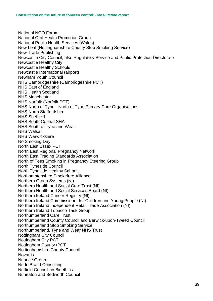National NGO Forum National Oral Health Promotion Group National Public Health Services (Wales) New Leaf (Nottinghamshire County Stop Smoking Service) New Trade Publishing Newcastle City Council, also Regulatory Service and Public Protection Directorate Newcastle Healthy City Newcastle Healthy Schools Newcastle International (airport) Newham Youth Council NHS Cambridgeshire (Cambridgeshire PCT) NHS East of England NHS Health Scotland NHS Manchester NHS Norfolk (Norfolk PCT) NHS North of Tyne - North of Tyne Primary Care Organisations NHS North Staffordshire NHS Sheffield NHS South Central SHA NHS South of Tyne and Wear NHS Walsall NHS Warwickshire No Smoking Day North East Essex PCT North East Regional Pregnancy Network North East Trading Standards Association North of Tees Smoking in Pregnancy Steering Group North Tyneside Council North Tyneside Healthy Schools Northamptonshire Smokefree Alliance Northern Group Systems (NI) Northern Health and Social Care Trust (NI) Northern Health and Social Services Board (NI) Northern Ireland Cancer Registry (NI) Northern Ireland Commissioner for Children and Young People (NI) Northern Ireland Independent Retail Trade Association (NI) Northern Ireland Tobacco Task Group Northumberland Care Trust Northumberland County Council and Berwick-upon-Tweed Council Northumberland Stop Smoking Service Northumberland, Tyne and Wear NHS Trust Nottingham City Council Nottingham City PCT Nottingham County tPCT Nottinghamshire County Council **Novartis** Nuance Group Nude Brand Consulting Nuffield Council on Bioethics Nuneaton and Bedworth Council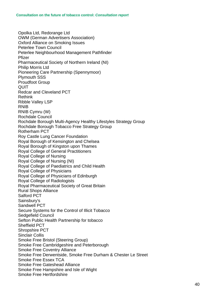Opolka Ltd, Redorange Ltd OWM (German Advertisers Association) Oxford Alliance on Smoking Issues Peterlee Town Council Peterlee Neighbourhood Management Pathfinder Pfizer Pharmaceutical Society of Northern Ireland (NI) Philip Morris Ltd Pioneering Care Partnership (Spennymoor) Plymouth SSS Proudfoot Group QUIT Redcar and Cleveland PCT Rethink Ribble Valley LSP RNIB RNIB Cymru (W) Rochdale Council Rochdale Borough Multi-Agency Healthy Lifestyles Strategy Group Rochdale Borough Tobacco Free Strategy Group Rotherham PCT Roy Castle Lung Cancer Foundation Royal Borough of Kensington and Chelsea Royal Borough of Kingston upon Thames Royal College of General Practitioners Royal College of Nursing Royal College of Nursing (NI) Royal College of Paediatrics and Child Health Royal College of Physicians Royal College of Physicians of Edinburgh Royal College of Radiologists Royal Pharmaceutical Society of Great Britain Rural Shops Alliance Salford PCT Sainsbury's Sandwell PCT Secure Systems for the Control of Illicit Tobacco Sedgefield Council Sefton Public Health Partnership for tobacco Sheffield PCT Shropshire PCT Sinclair Collis Smoke Free Bristol (Steering Group) Smoke Free Cambridgeshire and Peterborough Smoke Free Coventry Alliance Smoke Free Derwentside, Smoke Free Durham & Chester Le Street Smoke Free Essex TCA Smoke Free Gateshead Alliance Smoke Free Hampshire and Isle of Wight Smoke Free Hertfordshire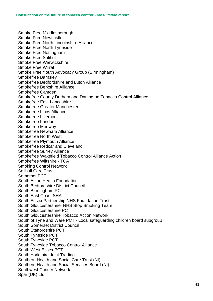Smoke Free Middlesborough Smoke Free Newcastle Smoke Free North Lincolnshire Alliance Smoke Free North Tyneside Smoke Free Nottingham Smoke Free Solihull Smoke Free Warwickshire Smoke Free Wirral Smoke Free Youth Advocacy Group (Birmingham) Smokefree Barnsley Smokefree Bedfordshire and Luton Alliance Smokefree Berkshire Alliance Smokefree Camden Smokefree County Durham and Darlington Tobacco Control Alliance Smokefree East Lancashire Smokefree Greater Manchester Smokefree Lincs Alliance Smokefree Liverpool Smokefree London Smokefree Medway Smokefree Newham Alliance Smokefree North West Smokefree Plymouth Alliance Smokefree Redcar and Cleveland Smokefree Surrey Alliance Smokefree Wakefield Tobacco Control Alliance Action Smokefree Wiltshire - TCA Smoking Control Network Solihull Care Trust Somerset PCT South Asian Health Foundation South Bedfordshire District Council South Birmingham PCT South East Coast SHA South Essex Partnership NHS Foundation Trust South Gloucestershire NHS Stop Smoking Team South Gloucestershire PCT South Gloucestershire Tobacco Action Network South of Tyne and Ware PCT - Local safeguarding children board subgroup South Somerset District Council South Staffordshire PCT South Tyneside PCT South Tyneside PCT South Tyneside Tobacco Control Alliance South West Essex PCT South Yorkshire Joint Trading Southern Health and Social Care Trust (NI) Southern Health and Social Services Board (NI) Southwest Cancer Network Spar (UK) Ltd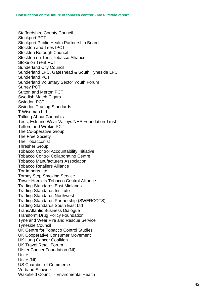Staffordshire County Council Stockport PCT Stockport Public Health Partnership Board Stockton and Tees tPCT Stockton Borough Council Stockton on Tees Tobacco Alliance Stoke on Trent PCT Sunderland City Council Sunderland LPC, Gateshead & South Tyneside LPC Sunderland PCT Sunderland Voluntary Sector Youth Forum Surrey PCT Sutton and Merton PCT Swedish Match Cigars Swindon PCT Swindon Trading Standards T Wiseman Ltd Talking About Cannabis Tees, Esk and Wear Valleys NHS Foundation Trust Telford and Wrekin PCT The Co-operative Group The Free Society The Tobacconist Thresher Group Tobacco Control Accountability Initiative Tobacco Control Collaborating Centre Tobacco Manufacturers Association Tobacco Retailers Alliance Tor Imports Ltd Torbay Stop Smoking Service Tower Hamlets Tobacco Control Alliance Trading Standards East Midlands Trading Standards Institute Trading Standards Northwest Trading Standards Partnership (SWERCOT S) Trading Standards South East Ltd TransAtlantic Business Dialogue Transform Drug Policy Foundation Tyne and Wear Fire and Rescue Service Tyneside Council UK Centre for Tobacco Control Studies UK Cooperative Consumer Movement UK Lung Cancer Coalition UK Travel Retail Forum Ulster Cancer Foundation (NI) Unite Unite (NI) US Chamber of Commerce Verband Schweiz Wakefield Council - Enviromental Health